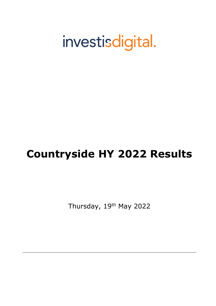# investisdigital.

# **Countryside HY 2022 Results**

Thursday, 19<sup>th</sup> May 2022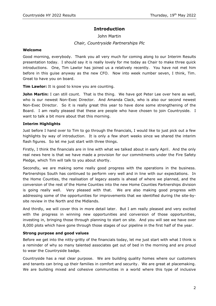## **Introduction**

# John Martin *Chair, Countryside Partnerships Plc*

#### **Welcome**

Good morning, everybody. Thank you all very much for coming along to our Interim Results presentation today. I should say it is really lovely for me today as Chair to make three quick introductions. One, Tim Lawlor has joined us a relatively recently. You have not met him before in this guise anyway as the new CFO. Now into week number seven, I think, Tim. Great to have you on board.

**Tim Lawlor:** It is good to know you are counting.

**John Martin:** I can still count. That is the thing. We have got Peter Lee over here as well, who is our newest Non-Exec Director. And Amanda Clack, who is also our second newest Non-Exec Director. So it is really great this year to have done some strengthening of the Board. I am really pleased that these are people who have chosen to join Countryside. I want to talk a bit more about that this morning.

#### **Interim Highlights**

Just before I hand over to Tim to go through the financials, I would like to just pick out a few highlights by way of introduction. It is only a few short weeks since we shared the interim flash figures. So let me just start with three things.

Firstly, I think the financials are in line with what we talked about in early April. And the only real news here is that we have made a provision for our commitments under the Fire Safety Pledge, which Tim will talk to you about shortly.

Secondly, we are making some really good progress with the operations in the business. Partnerships South has continued to perform very well and in line with our expectations. In the Home Counties, the realisation of legacy assets is ahead of where we planned, and the conversion of the rest of the Home Counties into the new Home Counties Partnerships division is going really well. Very pleased with that. We are also making good progress with addressing some of the opportunities for improvements that we identified during the site-bysite review in the North and the Midlands.

And thirdly, we will cover this in more detail later. But I am really pleased and very excited with the progress in winning new opportunities and conversion of those opportunities, investing in, bringing those through planning to start on site. And you will see we have over 8,000 plots which have gone through those stages of our pipeline in the first half of the year.

#### **Strong purpose and good values**

Before we get into the nitty-gritty of the financials today, let me just start with what I think is a reminder of why so many talented associates get out of bed in the morning and are proud to wear the Countryside badge.

Countryside has a real clear purpose. We are building quality homes where our customers and tenants can bring up their families in comfort and security. We are great at placemaking. We are building mixed and cohesive communities in a world where this type of inclusive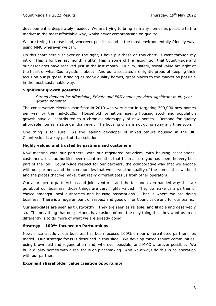development is desperately needed. We are trying to bring as many homes as possible to the market in the most affordable way, whilst never compromising on quality.

We are trying to reuse land, wherever possible, and in the most environmentally friendly way, using MMC wherever we can.

On this chart here just over on the right, I have put these on this chart. I went through my intro. This is for the last month, right? This is some of the recognition that Countryside and our associates have received just in the last month. Quality, safety, social value are right at the heart of what Countryside is about. And our associates are rightly proud of keeping their focus on our purpose, bringing as many quality homes, great places to the market as possible in the most sustainable way.

#### **Significant growth potential**

*Strong demand for Affordable, Private and PRS homes provides significant multi-year growth potential*

The conservative election manifesto in 2019 was very clear in targeting 300,000 new homes per year by the mid-2020s. Household formation, ageing housing stock and population growth have all contributed to a chronic undersupply of new homes. Demand for quality affordable homes is stronger than ever. The housing crisis is not going away any time soon.

One thing is for sure. As the leading developer of mixed tenure housing in the UK, Countryside is a key part of that solution.

#### **Highly valued and trusted by partners and customers**

Now meeting with our partners, with our registered providers, with housing associations, customers, local authorities over recent months, that I can assure you has been the very best part of the job. Countryside respect for our partners, the collaborative way that we engage with our partners, and the communities that we serve, the quality of the homes that we build and the places that we make, that really differentiates us from other operators.

Our approach to partnerships and joint ventures and the fair and even-handed way that we go about our business, those things are very highly valued. They do make us a partner of choice amongst local authorities and housing associations. That is where we are doing business. There is a huge amount of respect and goodwill for Countryside and for our teams.

Our associates are seen as trustworthy. They are seen as reliable, and likable and deservedly so. The only thing that our partners have asked of me, the only thing that they want us to do differently is to do more of what we are already doing.

#### **Strategy – 100% focused on Partnerships**

Now, since last July, our business has been focused 100% on our differentiated partnerships model. Our strategic focus is described in this slide. We develop mixed tenure communities, using brownfield and regeneration land, wherever possible, and MMC wherever possible. We build quality homes with a real focus on placemaking. And we always do this in collaboration with our partners.

#### **Excellent shareholder value creation opportunity**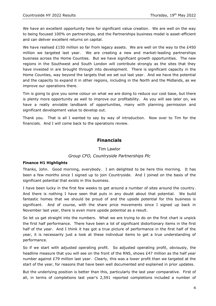We have an excellent opportunity here for significant value creation. We are well on the way to being focused 100% on partnerships, and the Partnerships business model is asset-efficient and can deliver excellent returns on capital.

We have realised £150 million so far from legacy assets. We are well on the way to the £450 million we targeted last year. We are creating a new and market-leading partnerships business across the Home Counties. But we have significant growth opportunities. The new regions in the Southwest and South London will contribute strongly as the sites that they have invested in are brought through into development. There is significant capacity in the Home Counties, way beyond the targets that we set out last year. And we have the potential and the capacity to expand it in other regions, including in the North and the Midlands, as we improve our operations there.

Tim is going to give you some colour on what we are doing to reduce our cost base, but there is plenty more opportunity as well to improve our profitability. As you will see later on, we have a really enviable landbank of opportunities, many with planning permission and significant development value to develop out.

Thank you. That is all I wanted to say by way of introduction. Now over to Tim for the financials. And I will come back to the operations review.

### **Financials**

Tim Lawlor

#### *Group CFO, Countryside Partnerships Plc*

#### **Finance H1 Highlights**

Thanks, John. Good morning, everybody. I am delighted to be here this morning. It has been a few months since I signed up to join Countryside. And I joined on the basis of the significant potential that exists in this business.

I have been lucky in the first few weeks to get around a number of sites around the country. And there is nothing I have seen that puts in any doubt about that potential. We build fantastic homes that we should be proud of and the upside potential for this business is significant. And of course, with the share price movements since I signed up back in November last year, there is even more upside potential as a result.

So let us get straight into the numbers. What we are trying to do on the first chart is unpick the first half performance. There have been a lot of significant distortionary items in the first half of the year. And I think it has got a true picture of performance in the first half of the year, it is necessarily just a look at these individual items to get a true understanding of performance.

So if we start with adjusted operating profit. So adjusted operating profit, obviously, the headline measure that you will see on the front of the RNS, shows £47 million as the half year number against £79 million last year. Clearly, this was a lower profit than we targeted at the start of the year, for reasons that have been well documented and explained in prior updates.

But the underlying position is better than this, particularly the last year comparative. First of all, in terms of completions last year's 2,591 reported completions included a number of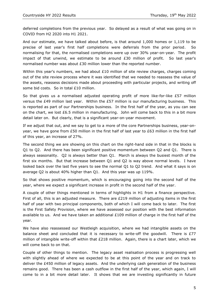deferred completions from the previous year. So delayed as a result of what was going on in COVID from H2 2020 into H1 2021.

And our estimate, we have talked about before, is that around 1,000 homes or 1,119 to be precise of last year's first half completions were deferrals from the prior period. So normalising for that, the normalised completions were up over 30% year-on-year. The profit impact of that unwind, we estimate to be around  $E30$  million of profit. So last year's normalised number was about £30 million lower than the reported number.

Within this year's numbers, we had about  $£10$  million of site review charges, charges coming out of the site review process where it was identified that we needed to reassess the value of the assets, reassess decisions made about proceeding with particular projects, and writing off some bid costs. So in total £10 million.

So that gives us a normalised adjusted operating profit of more like-for-like  $E57$  million versus the £49 million last year. Within the £57 million is our manufacturing business. This is reported as part of our Partnerships business. In the first half of the year, as you can see on the chart, we lost  $£6.5$  million in manufacturing. John will come back to this in a bit more detail later on. But clearly, that is a significant year-on-year movement.

If we adjust that out, and we say to get to a more of the core Partnerships business, year-onyear, we have gone from £50 million in the first half of last year to £63 million in the first half of this year, an increase of 27%.

The second thing we are showing on this chart on the right-hand side in that in the blocks is Q1 to Q2. And there has been significant positive momentum between Q2 and Q1. There is always seasonality. Q2 is always better than Q1. March is always the busiest month of the first six months. But that increase between Q1 and Q2 is way above normal levels. I have looked back over the last five years to see the normal Q1 to Q2 trend. And what it says is on average Q2 is about 40% higher than Q1. And this year was up 119%.

So that shows positive momentum, which is encouraging going into the second half of the year, where we expect a significant increase in profit in the second half of the year.

A couple of other things mentioned in terms of highlights in H1 from a finance perspective. First of all, this is an adjusted measure. There are £219 million of adjusting items in the first half of year with two principal components, both of which I will come back to later. The first is the First Safety Provision, where we have assessed our position with the best information available to us. And we have taken an additional £109 million of charge in the first half of the year.

We have also reassessed our Westleigh acquisition, where we had intangible assets on the balance sheet and concluded that it is necessary to write-off the goodwill. There is  $E77$ million of intangible write-off within that £218 million. Again, there is a chart later, which we will come back to on that.

Couple of other things to mention. The legacy asset realisation process is progressing well with slightly ahead of where we expected to be at this point of the year and on track to deliver the £450 million of legacy assets. And the underlying cash generation of the business remains good. There has been a cash outflow in the first half of the year, which again, I will come to in a bit more detail later. It shows that we are investing significantly in future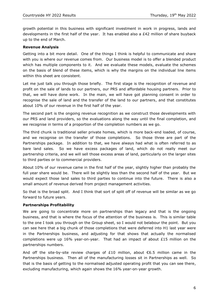growth potential in this business with significant investment in work in progress, lands and developments in the first half of the year. It has enabled also a £42 million of share buyback up to the end of March.

#### **Revenue Analysis**

Getting into a bit more detail. One of the things I think is helpful to communicate and share with you is where our revenue comes from. Our business model is to offer a blended product which has multiple components to it. And we evaluate these models, evaluate the schemes on the basis of blend of these items, which is why the margins on the individual line items within this sheet are consistent.

Let me just talk you through those briefly. The first stage is the recognition of revenue and profit on the sale of lands to our partners, our PRS and affordable housing partners. Prior to that, we will have done work. In the main, we will have got planning consent in order to recognise the sale of land and the transfer of the land to our partners, and that constitutes about 10% of our revenue in the first half of the year.

The second part is the ongoing revenue recognition as we construct those developments with our PRS and land providers, so the evaluations along the way until the final completion, and we recognise in terms of a proportion of the completion numbers as we go.

The third chunk is traditional seller private homes, which is more back-end loaded, of course, and we recognise on the transfer of those completions. So those three are part of the Partnerships package. In addition to that, we have always had what is often referred to as bare land sales. So we have excess packages of land, which do not really meet our partnership criteria, and we will sell those excess areas of land, particularly on the larger sites to third parties or to commercial providers.

About 10% of our revenue came in the first half of the year, slightly higher than probably the full year share would be. There will be slightly less than the second half of the year. But we would expect those land sales to third parties to continue into the future. There is also a small amount of revenue derived from project management activities.

So that is the broad split. And I think that sort of split off of revenue will be similar as we go forward to future years.

#### **Partnerships Profitability**

We are going to concentrate more on partnerships than legacy and that is the ongoing business, and that is where the focus of the attention of the business is. This is similar table to the one I took you through on the Group sheet, so I would not belabour the point. But you can see here that a big chunk of those completions that were deferred into H1 last year were in the Partnerships business, and adjusting for that shows that actually the normalised completions were up 16% year-on-year. That had an impact of about £15 million on the partnerships numbers.

And off the site-by-site review charges of £10 million, about  $€6.5$  million came in the Partnerships business. Then all of the manufacturing losses sit in Partnerships as well. So that is the basis of getting to the normalised adjusted operating profit that you can see there, excluding manufacturing, which again shows the 16% year-on-year growth.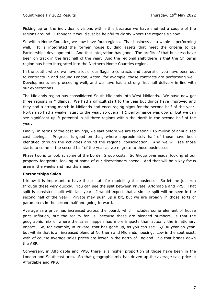Picking up on the individual divisions within this because we have shuffled a couple of the regions around. I thought it would just be helpful to clarify where the regions sit now.

So within Home Counties, we now have four regions. That business as a whole is performing well. It is integrated the former house building assets that meet the criteria to be Partnerships developments. And that integration has gone. The profits of that business have been on track in the first half of the year. And the regional shift there is that the Chilterns region has been integrated into the Northern Home Counties region.

In the south, where we have a lot of our flagship contracts and several of you have been out to contracts in and around London, Acton, for example, those contracts are performing well. Developments are proceeding well, and we have had a strong first half delivery in line with our expectations.

The Midlands region has consolidated South Midlands into West Midlands. We have now got three regions in Midlands. We had a difficult start to the year but things have improved and they had a strong march in Midlands and encouraging signs for the second half of the year. North also had a weaker start to the year, so overall H1 performance was down. But we can see significant uplift potential in all three regions within the North in the second half of the year.

Finally, in terms of the cost savings, we said before we are targeting  $£15$  million of annualised cost savings. Progress is good on that, where approximately half of those have been identified through the activities around the regional consolidation. And we will see those starts to come in the second half of the year as we migrate to those businesses.

Phase two is to look at some of the border Group costs. So Group overheads, looking at our property footprints, looking at some of our discretionary spend. And that will be a key focus area in the weeks and months ahead.

#### **Partnerships Sales**

I know it is important to have these stats for modelling the business. So let me just run through these very quickly. You can see the split between Private, Affordable and PRS. That split is consistent split with last year. I would expect that a similar split will be seen in the second half of the year. Private may push up a bit, but we are broadly in those sorts of parameters in the second half and going forward.

Average sale price has increased across the board, which includes some element of house price inflation, but the reality for us, because these are blended numbers, is that the geographic mix of where the sales happen has more impacts than actually the inflationary impact. So, for example, in Private, that has gone up, as you can see  $£6,000$  year-on-year, but within that is an increased blend of Northern and Midlands housing. Low in the southeast, with of course average sales prices are lower in the north of England. So that brings down the ASP.

Conversely, in Affordable and PRS, there is a higher proportion of those have been in the London and Southeast area. So that geographic mix has driven up the average sale price in Affordable and PRS.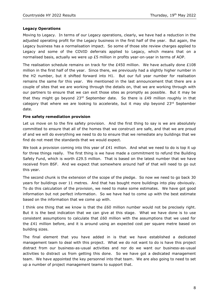#### **Legacy Operations**

Moving to Legacy. In terms of our Legacy operations, clearly, we have had a reduction in the adjusted operating profit for the Legacy business in the first half of the year. But again, the Legacy business has a normalisation impact. So some of those site review charges applied to Legacy and some of the COVID deferrals applied to Legacy, which means that on a normalised basis, actually we were up £5 million in profits year-on-year in terms of AOP.

The realisation schedule remains on track for the £450 million. We have actually done £108 million in the first half of the year. Since there, we previously had a slightly higher number in the H2 number, but it shifted forward into H1. But our full year number for realisation remains the same for this year. We mentioned in the last announcement that there are a couple of sites that we are working through the details on, that we are working through with our partners to ensure that we can exit those sites as promptly as possible. But it may be that they might go beyond  $23^{rd}$  September date. So there is £49 million roughly in that category that where we are looking to accelerate, but it may slip beyond 23rd September date.

#### **Fire safety remediation provision**

Let us move on to the fire safety provision. And the first thing to say is we are absolutely committed to ensure that all of the homes that we construct are safe, and that we are proud of and we will do everything we need to do to ensure that we remediate any buildings that we find do not meet the standards that we would expect.

We took a provision coming into this year of  $E41$  million. And what we need to do is top it up for three things really. The first thing is we have made a commitment to refund the Building Safety Fund, which is worth  $E29.5$  million. That is based on the latest number that we have received from BSF. And we expect that somewhere around half of that will need to go out this year.

The second chunk is the extension of the scope of the pledge. So now we need to go back 30 years for buildings over 11 metres. And that has bought more buildings into play obviously. To do this calculation of the provision, we need to make some estimates. We have got good information but not perfect information. So we have had to come up with the best estimate based on the information that we come up with.

I think one thing that we know is that the £60 million number would not be precisely right. But it is the best indication that we can give at this stage. What we have done is to use consistent assumptions to calculate that £60 million with the assumptions that we used for the £41 million before, and it is around using an expected cost per square metre based on building sizes.

The final element that you have added in is that we have established a dedicated management team to deal with this project. What we do not want to do is have this project distract from our business-as-usual activities and nor do we want our business-as-usual activities to distract us from getting this done. So we have got a dedicated management team. We have appointed the key personnel into that team. We are also going to need to set up a number of project management teams to support that.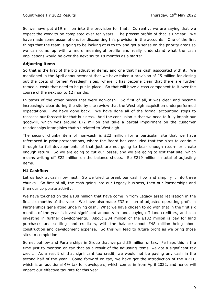So we have put  $E19$  million into the provision for that. Currently, we are saying that we expect the work to be completed over ten years. The precise profile of that is unclear. We have made some assumptions for discounting this provision in the accounts. One of the first things that the team is going to be looking at is to try and get a sense on the priority areas so we can come up with a more meaningful profile and really understand what the cash implications would be over the next six to 18 months as a starter.

#### **Adjusting items**

So that is the first of the big adjusting items, and one that has cash associated with it. We mentioned in the April announcement that we have taken a provision of £5 million for closing out the costs of former Westleigh sites, where it has become clear that there are further remedial costs that need to be put in place. So that will have a cash component to it over the course of the next six to 12 months.

In terms of the other pieces that were non-cash. So first of all, it was clear and became increasingly clear during the site by site review that the Westleigh acquisition underperformed expectations. We have gone back. We have done all of the formal accounting steps to reassess our forecast for that business. And the conclusion is that we need to fully impair our goodwill, which was around £72 million and take a partial impairment on the customer relationships intangibles that sit related to Westleigh.

The second chunky item of non-cash is  $E22$  million for a particular site that we have referenced in prior presentations, where the Board has concluded that the sites to continue through to full developments of that just are not going to bear enough return or create enough return. So we are going to cut our losses, and we are going to exit that site, which means writing off  $E22$  million on the balance sheets. So  $E219$  million in total of adjusting items.

#### **H1 Cashflow**

Let us look at cash flow next. So we tried to break our cash flow and simplify it into three chunks. So first of all, the cash going into our Legacy business, then our Partnerships and then our corporate activity.

We have touched on the  $£108$  million that have come in from Legacy asset realisation in the first six months of the year. We have also made  $E32$  million of adjusted operating profit in Partnerships generating underlying cash. What we have chosen to do with that in the first six months of the year is invest significant amounts in land, paying off land creditors, and also investing in further developments. About  $E84$  million of the  $E132$  million is pay for land purchases and settling land creditors, with the balance about  $E48$  million being about construction and development expense. So this will lead to future profit as we bring those sites to completion.

So net outflow and Partnerships in Group that we paid £5 million of tax. Perhaps this is the time just to mention on tax that as a result of the adjusting items, we got a significant tax credit. As a result of that significant tax credit, we would not be paying any cash in the second half of the year. Going forward on tax, we have got the introduction of the RPDT, which is an additional 4% tax for developers, which comes in from April 2022, and hence will impact our effective tax rate for this year.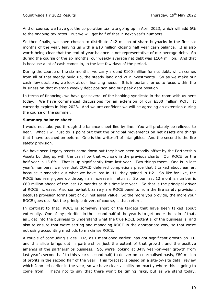And of course, we have got the corporation tax rate going up in April 2023, which will add 6% to the ongoing tax rates. But we will get half of that in next year's numbers.

So then finally, we have chosen to distribute  $E42$  million of share buybacks in the first six months of the year, leaving us with a  $£10$  million closing half year cash balance. It is also worth being clear that the end of year balance is not representative of our average debt. So during the course of the six months, our weekly average net debt was £104 million. And that is because a lot of cash comes in, in the last few days of the period.

During the course of the six months, we carry around  $£100$  million for net debt, which comes from all of that steady build up, the steady land and WIP investments. So as we make our cash flow decisions, we look at our financing needs. It is important for us to focus within the business on that average weekly debt position and our peak debt position.

In terms of financing, we have got several of the banking syndicate in the room with us here today. We have commenced discussions for an extension of our  $E300$  million RCF. It currently expires in May 2023. And we are confident we will be agreeing an extension during the course of the summer.

#### **Summary balance sheet**

I would not take you through the balance sheet line by line. You will probably be relieved to hear. What I will just do is point out that the principal movements on net assets are things that I have touched on before. One is the write-off of intangibles. And the second is the fire safety provision.

We have seen Legacy assets come down but they have been broadly offset by the Partnership Assets building up with the cash flow that you saw in the previous charts. Our ROCE for the half year is 15.6%. That is up significantly from last year. Two things there. One is in last year's numbers, we lose that COVID deferred completions piece that I talked about earlier, because it smooths out what we have lost in H1, they gained in H2. So like-for-like, the ROCE has really gone up through an increase in returns. So our last 12 months number is £60 million ahead of the last 12 months at this time last year. So that is the principal driver of ROCE increase. Also somewhat bizarrely are ROCE benefits from the fire safety provision, because provision forms part of our net asset value. So the more you provide, the more your ROCE goes up. But the principle driver, of course, is that return.

In contrast to that, ROCE is someway short of the targets that have been talked about externally. One of my priorities in the second half of the year is to get under the skin of that, as I get into the business to understand what the true ROCE potential of the business is, and also to ensure that we're setting and managing ROCE in the appropriate way, so that we're not using accounting methods to maximise ROCE.

A couple of concluding slides. H2, as I mentioned earlier, has got significant growth on H1, and this slide brings out in partnerships just the extent of that growth, and the positive amends of the partnerships business. So, we're looking at 34% year-on-year growth from last year's second half to this year's second half, to deliver on a normalised basis, £80 million of profits in the second half of the year. This forecast is based on a site-by-site detail review which John led earlier in the year, so we have clear visibility on exactly where this is going to come from. That's not to say that there won't be timing risks, but as we stand today,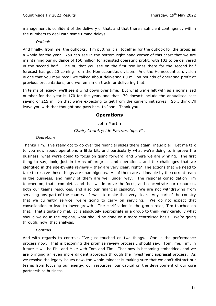management is confident of the delivery of that, and that there's sufficient contingency within the numbers to deal with some timing delays.

#### *Outlook*

And finally, from me, the outlooks. I'm putting it all together for the outlook for the group as a whole for the year. You can see in the bottom right-hand corner of this chart that we are maintaining our guidance of 150 million for adjusted operating profit, with 103 to be delivered in the second half. The 80 that you see on the first two lines there for the second half forecast has got 20 coming from the Homecounties division. And the Homecounties division is one that you may recall we talked about delivering 60 million pounds of operating profit at previous presentations, and we remain on track for delivering that.

In terms of legacy, we'll see it wind down over time. But what we're left with as a normalised number for the year is 170 for the year, and that 170 doesn't include the annualised cost saving of £15 million that we're expecting to get from the current initiatives. So I think I'll leave you with that thought and pass back to John. Thank you.

#### **Operations**

#### John Martin

#### *Chair, Countryside Partnerships Plc*

#### *Operations*

Thanks Tim. I've really got to go over the financial slides there again [inaudible]. Let me talk to you now about operations a little bit, and particularly what we're doing to improve the business, what we're going to focus on going forward, and where we are winning. The first thing to say, look, just in terms of progress and operations, and the challenges that we identified in the site-by-site reviews – they are very clear, right? The actions that we need to take to resolve those things are unambiguous. All of them are actionable by the current team in the business, and many of them are well under way. The regional consolidation Tim touched on, that's complete, and that will improve the focus, and concentrate our resources, both our teams resources, and also our financial capacity. We are not withdrawing from servicing any part of the country. I want to make that very clear. Any part of the country that we currently service, we're going to carry on servicing. We do not expect that consolidation to lead to lower growth. The clarification in the group roles, Tim touched on that. That's quite normal. It is absolutely appropriate in a group to think very carefully what should we do in the regions, what should be done on a more centralised basis. We're going through, now, that analysis.

#### *Controls*

And with regards to controls, I've just touched on two things. One is the performance process now. That is becoming the promise review process I should say. Tom, me, Tim, in future it will be Phil and Mike with Tom and Tim. That now is becoming embedded, and we are bringing an even more diligent approach through the investment appraisal process. As we resolve the legacy issues now, the whole mindset is making sure that we don't distract our teams from focusing our energy, our resources, our capital on the development of our core partnerships business.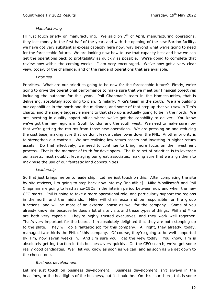#### *Manufacturing*

I'll just touch briefly on manufacturing. We said on  $7<sup>th</sup>$  of April, manufacturing operations, they lost money in the first half of the year, and with the opening of the new Bardon facility, we have got very substantial excess capacity here now, way beyond what we're going to need for the foreseeable future. We are looking now how to use that capacity best and how we can get the operations back to profitability as quickly as possible. We're going to complete that review now within the coming weeks. I am very encouraged. We've now got a very clear view, today, of the challenge, and of the range of operations that are available.

#### *Priorities*

Priorities. What are our priorities going to be now for the foreseeable future? Firstly, we're going to drive the operational performance to make sure that we meet our financial objectives including the outcome for this year. Phil Chapman's team in the Homecounties, that is delivering, absolutely according to plan. Similarly, Mike's team in the south. We are building our capabilities in the north and the midlands, and some of that step up that you saw in Tim's charts, and the single biggest element to that step up is actually going to be in the north. We are investing in quality opportunities where we've got the capability to deliver. You know we've got the new regions in South London and the south west. We need to make sure now that we're getting the returns from those new operations. We are pressing on and reducing the cost base, making sure that we don't leak a value lower down the PNL. Another priority is to strengthen our controls. We are realising low return assets and investing in higher return assets. Do that effectively, we need to continue to bring more focus on the investment process. That is the moment of truth for developers. The third set of priorities is to leverage our assets, most notably, leveraging our great associates, making sure that we align them to maximise the use of our fantastic land opportunities.

#### *Leadership*

So that just brings me on to leadership. Let me just touch on this. After completing the site by site reviews, I'm going to step back now into my [inaudible]. Mike Woolliscroft and Phil Chapman are going to lead as co-CEOs in the interim period between now and when the new CEO starts. Phil is going to take a more operational role, and particularly support the regions in the north and the midlands. Mike will chair exco and be responsible for the group functions, and will be more of an external phase as well for the company. Some of you already know him because he does a lot of site visits and those types of things. Phil and Mike are both very capable. They're highly trusted executives, and they work well together. That's very important for the board. I'm absolutely delighted that they are both stepping up to the plate. They will do a fantastic job for this company. All right, they already, today, managed two-thirds the PNL of this company. Of course, they're going to be well supported by Tim, now seven weeks in. And I'm sure you'll get the view today. You know, Tim is absolutely getting traction in this business, very quickly. On the CEO search, we've got some really good candidates. We'll let you know as soon as we can, and as soon as we get down to the chosen one.

#### *Business development*

Let me just touch on business development. Business development isn't always in the headlines, or the headlights of the business, but it should be. On this chart here, this is some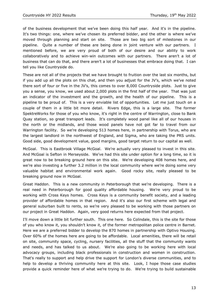of the business development that we've been doing this half year. And it's in the pipeline. It's two things: one, where we've chosen its preferred bidder, and the other is where we've moved through planning and start on site. Those are two big sort of milestones in our pipeline. Quite a number of these are being done in joint venture with our partners. I mentioned before, we are very proud of both of our desire and our ability to work collaboratively and to achieve win-win outcomes with our partners. There aren't a lot of business that can do that, and there aren't a lot of businesses that embrace doing that. I can tell you like Countryside do.

These are not all of the projects that we have brought to fruition over the last six months, but if you add up all the plots on this chat, and then you adjust for the JV's, which we've noted there sort of four or five in the JV's, this comes to over 8,000 Countryside plots. Just to give you a sense, you know, we used about 2,000 plots in the first half of the year. That was just an indicator of the investment and the growth, and the health of our pipeline. This is a pipeline to be proud of. This is a very enviable list of opportunities. Let me just touch on a couple of them in a little bit more detail. Rivers Edge, this is a large site. The former SpektreWorks for those of you who know, it's right in the centre of Warrington, close to Bank Quay station, so great transport leads. It's completely wood panel like all of our houses in the north or the midlands, and those wood panels have not got far to travel from our Warrington facility. So we're developing 513 homes here, in partnership with Torus, who are the largest landlord in the northwest of England, and Sigma, who are taking the PRS units. Good side, good development value, good margins, good target return to our capital as well.

McGoal. This is Eastbrook Village McGoal. We're actually very pleased to invest in this site. And McGoal is Sefton in Merseyside. We've had this site under option for a long time, so it is great now to be breaking ground here on this site. We're developing 408 homes here, and we're also investing a further 3.2 million in the local community where we're doing some very valuable habitat and environmental work again. Good rocky site, really pleased to be breaking ground now in McGoal.

Great Haddon. This is a new community in Peterborough that we're developing. There is a real need in Peterborough for good quality affordable housing. We're very proud to be working with Cross Keys homes. Cross Keys is a community benefit society, and a leading provider of affordable homes in that region. And it's also our first scheme with legal and general suburban built to rents, so we're very pleased to be working with those partners on our project in Great Haddon. Again, very good returns here expected from that project.

I'll move down a little bit further south. This one here. So Colindale, this is the site for those of you who know it, you shouldn't know it, of the former metropolitan police centre in Barnet. Here we are a preferred bidder to develop the 870 homes in partnership with Optivo Housing. Over 60% of the homes here are going to be affordable. Local amenities, there will be retail on site, community space, cycling, nursery facilities, all the stuff that the community wants and needs, and has talked to us about. We're also going to be working here with local advocacy groups, including black professionals in construction and women in construction. That's really to support and help drive the support for London's diverse communities, and to help to develop a thriving community here at this site. Look, I hope those case studies provide a quick reminder here of what we're trying to do. We're trying to build sustainable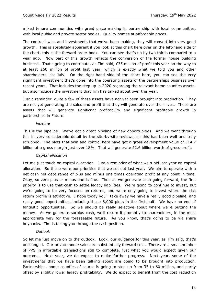mixed tenure communities with great place making in partnership with local communities, with local public and private sector bodies. Quality homes at affordable prices.

The contract wins and investments that we've been making, they will convert into very good growth. This is absolutely apparent if you look at this chart here over on the left-hand side of the chart, this is the forward order book. You can see that's up by two thirds compared to a year ago. Now part of this growth reflects the conversion of the former house building business. That's going to contribute, as Tim said, £35 million of profit this year on the way to at least £60 million of profit last year, which is exactly what we told you and other shareholders last July. On the right-hand side of the chart here, you can see the very significant investment that's gone into the operating assets of the partnerships business over recent years. That includes the step up in 2020 regarding the relevant home counties assets, but also includes the investment that Tim has talked about over this year.

Just a reminder, quite a few of these assets have not yet been brought into production. They are not yet generating the sales and profit that they will generate over their lives. These are assets that will generate significant profitability and significant profitable growth in partnerships in Future.

#### *Pipeline*

This is the pipeline. We've got a great pipeline of new opportunities. And we went through this in very considerable detail by the site-by-site reviews, so this has been well and truly scrubbed. The plots that own and control here have got a gross development value of £14.7 billion at a gross margin just over 18%. That will generate £2.6 billion worth of gross profit.

#### *Capital allocation*

Let me just touch on capital allocation. Just a reminder of what we s-aid last year on capital allocation. So these were our priorities that we set out last year. We aim to operate with a net cash net debt range of plus and minus one times operating profit at any point in time. Okay, so zero plus or minus one is fine. Then as we generate cash going forward, the first priority is to use that cash to settle legacy liabilities. We're going to continue to invest, but we're going to be very focused on returns, and we're only going to invest where the risk return profile is attractive. I hope today you'll take away we have a really good pipeline, and really good opportunities, including those 8,000 plots in the first half. We have no end of fantastic opportunities. So we should be really selective about where we're putting the money. As we generate surplus cash, we'll return it promptly to shareholders, in the most appropriate way for the foreseeable future. As you know, that's going to be via share buybacks. Tim is taking you through the cash position.

#### *Outlook*

So let me just move on to the outlook. Look, our guidance for this year, as Tim said, that's unchanged. Our private home sales are substantially forward sold. There are a small number of PRS in affordable transactions still to complete, just what you would expect given our outcome. Next year, we do expect to make further progress. Next year, some of the investments that we have been talking about are going to be brought into production. Partnerships, home counties of course is going to step up from 35 to 60 million, and partly offset by slightly lower legacy profitability. We do expect to benefit from the cost reduction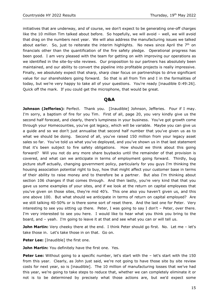initiatives that are underway, and of course, we don't expect to be generating one-off charges like the 10 million Tim talked about before. So hopefully, we will avoid – well, we will avoid that drag on the numbers next year. We will also address the manufacturing issues we talked about earlier. So, just to reiterate the interim highlights. No news since April the  $7<sup>th</sup>$  on financials other than the quantification of the fire safety pledge. Operational progress has been good. I am very pleased with the team for getting on with improving our operations as we identified in the site-by-site reviews. Our proposition to our partners has absolutely been maintained, and our ability to convert the pipeline into profitable projects is really impressive. Finally, we absolutely expect that sharp, sharp clear focus on partnerships to drive significant value for our shareholders going forward. So that is all from Tim and I in the formalities of today, but we're very happy to take all of your questions. You're ready [inaudible 0:49:26]. Quick off the mark. If you could get the microphone, that would be great.

#### **Q&A**

**Johnson (Jefferies):** Perfect. Thank you. [Inaudible] Johnson, Jefferies. Four if I may. I'm sorry, a baptism of fire for you Tim. First of all, page 20, you very kindly give us the second half forecast, and clearly, there's lumpiness in your business. You've got growth come through your Homecounties, you've got legacy, which will be variable. Maybe you can give us a guide and so we don't just annualise that second half number that you've given us as to what we should be doing. Second of all, you've raised 150 million from your legacy asset sales so far. You've told us what you've deployed, and you've shown us in that last statement that it's been subject to fire safety obligations. How should we think about this going forward? Will you not do any more share buybacks until the remainder of that provision is covered, and what can we anticipate in terms of employment going forward. Thirdly, bug picture stuff actually, changing government policy, particularly for you guys I'm thinking the housing association potential right to buy, how that might affect your customer base in terms of their ability to raise money and to therefore be a partner. But also I'm thinking about section 106 changes if that comes through. And then lastly, you're very kind that that you gave us some examples of your sites, and if we look at the return on capital employees that you've given on those sites, they're mid 40's. This one also you haven't given us, and this one above 100. But what should we anticipate in terms of return on capital employed? Are we still talking 40-50% or is there some sort of reset there. And the last one for Peter. Very interesting to see you sitting up there. Peter, I was going to say I don't – Peter, over there. I'm very interested to see you here. I would like to hear what you think you bring to the board, and – yeah. I'm going to leave it at that and see what you can or will tell us.

**John Martin:** Very cheeky there at the end. I think Peter should go first. No. Let me - let's take those in. Let's take those in on that. Go on.

**Peter Lee:** [Inaudible] the first one.

**John Martin:** You definitely have the first one. Yes.

**Peter Lee:** Without going to a specific number, let's start with the – let's start with the 150 from this year. Clearly, as John just said, we're not going to have those site by site review costs for next year, so is [inaudible]. The 10 million of manufacturing losses that we've had this year, we're going to take steps to reduce that, whether we can completely eliminate it or not is to be determined by precisely what those actions are, but we'd expect some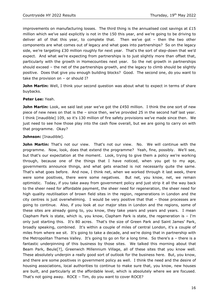improvements on manufacturing losses. The third thing is the annualised cost savings at  $£15$ million which we've said explicitly is not in the 150 this year, and we're going to be driving to deliver all of that this year, to complete that. Then we've got – then the two other components are what comes out of legacy and what goes into partnerships? So on the legacy side, we're targeting £30 million roughly for next year. That's the sort of step-down that we'd expect. And what we're expecting from partnerships is to just slightly more than offset that, particularly with the growth in Homecounties next year. So the net growth in partnerships should exceed – the net of the partnerships growth, and the legacy to climb should be slightly positive. Does that give you enough building blocks? Good. The second one, do you want to take the provision on  $-$  or should I?

John Martin: Well, I think your second question was about what to expect in terms of share buybacks.

#### **Peter Lee:** Yeah.

**John Martin:** Look, we said last year we've got the £450 million. I think the one sort of new piece of new news on that is the – since then, we've provided 25 in the second half last year. I think [inaudible] 109, so it's 130 million of fire safety provisions we've made since then. We just need to see how those play into the cash flow overall, but we are going to carry on with that programme. Okay?

#### Johnson: [Inaudible].

**John Martin:** That's not our view. That's not our view. No. We will continue with the programme. Now, look, does that extend the programme? Yeah, fine, possibly. We'll see, but that's our expectation at the moment. Look, trying to give them a policy we're working through, because one of the things that I have noticed, when you get to my age, governments announce things, and what gets enacted is not necessarily quite the same. That's what goes before. And now, I think net, when we worked through it last week, there were some positives, there were some negatives. But net, you know, net, we remain optimistic. Today, if you take away from government policy and just strip it all the way back to the sheer need for affordable payment, the sheer need for regeneration, the sheer need for high quality reutilisation of brown field sites in the region, regenerations in London and the city centres is just overwhelming. I would be very positive that that – those processes are going to continue. Also, if you look at our major sites in London and the regions, some of these sites are already going to, you know, they take years and years and years. I mean Clapham Park is state, which is, you know, Clapham Park is state, the regeneration is  $-$  I'm only just starting this. It's 80 acres. That's the size of Green Park and Saint James' Park, broadly speaking, combined. It's within a couple of miles of central London, it's a couple of miles from where we sit. It's going to take a decade, and we're doing that in partnership with the Metropolitan Thames Valley. It's going to go on for a long time. So there's a – there is a fantastic underpinning of this business by those sites. We talked this morning about that Beam Park, Beule[?], Greenwich Millennium Village, all of these sites that you know well. These absolutely underpin a really good sort of outlook for the business here. But, you know, and there are some positives in government policy as well. I think the need and the desire of housing associations, local authorities to continue to make sure that, you know, new houses are built, and particularly at the affordable level, which is absolutely where we are focused. That's not going away. ROCE – Tim, do you want to cover ROCE?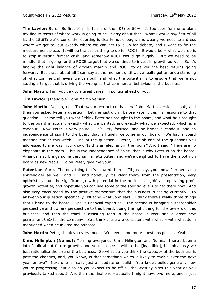**Tim Lawlor:** Sure. So first of all in terms of the 40% or 50%, it's too soon for me to plant my flag in terms of where work is going to be. Sorry about that. What I would say first of all is, the 15.6% we're currently reporting is clearly not enough, and clearly we need to a dress where we get to, but exactly where we can get to is up for debate, and I want to fix the measurement piece. It will be the easier thing to do for ROCE. It would be – what we'd do is to stop investing further cash, and somehow ROCE would go hugely. But we need to be mindful that in going for the ROCE target that we continue to invest in growth as well. So it's finding the right balance of growth margin and ROCE to deliver the best returns going forward. But that's about all I can say at the moment until we've really got an understanding of what commercial levers we can pull, and what the potential is to ensure that we're not setting a target that is driving the wrong sort of commercial behaviour in the business.

**John Martin:** Tim, you've got a great career in politics ahead of you.

**Tim Lawlor:** [Inaudible] John Martin version.

**John Martin:** No, no, no. That was much better than the John Martin version. Look, and then you asked Peter a question. Let me just dip in before Peter gives his response to that question. Let me tell you what I think Peter has brought to the board, and what he's brought to the board is actually exactly what we wanted, and exactly what we expected, which is a candour. Now Peter is very polite. He's very focused, and he brings a candour, and an independence of spirit to the board that is hugely welcome in our board. We had a board meeting earlier this week. One of the question – Peter, I think one of the questions you addressed to me was, you know, 'Is this an elephant in the room?' And I said, 'There are no elephants in the room.' This is the independence of spirit, that is why Peter is on the board. Amanda also brings some very similar attributes, and we're delighted to have them both on board as new Ned's. Go on Peter, give me your –

**Peter Lee:** Sure. The only thing that's allowed there – I'll just say, you know, I'm here as a shareholder as well, and  $I -$  and hopefully it's clear today from the presentation, very optimistic about the significant growth potential in the business, significant operating profit growth potential, and hopefully you can see some of the specific levers to get there now. And also very encouraged by the positive momentum that the business is seeing currently. To answer your question specifically, I'll echo what John said. I think there's really three things that I bring to the board. One is financial expertise. The second is bringing a shareholder perspective and owners perspective to this board, doing the right thing for the owners of this business, and then the third is assisting John in the board in recruiting a great new permanent CEO for the company. So I think these are consistent with what – with what John mentioned when he invited me onboard.

**John Martin:** Peter, thank you very much. We need some more questions please. Yeah.

**Chris Millington (Numis):** Morning everyone. Chris Millington and Numis. There's been a lot of talk about future growth, and you can see it within the [inaudible], but obviously we just rationalise the size of the business. So what do you think the capacity of the business is post the changes, and, you know, is that something which is likely to evolve over the next year or two? Next one is really just an update on build. You know, build, generally how you're progressing, but also do you expect to be off all the Westley sites this year as you previously talked about? And then the final one – actually I might have two more, one is just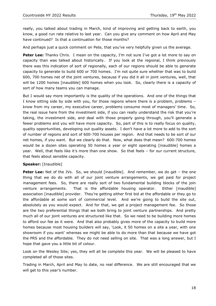really, you talked about trading in March, kind of improving and getting back to earth, you know, a good run rate relative to last year. Can you give any comment on how April and May have continued? Is that a continuation for those months?

And perhaps just a quick comment on Pete, that you've very helpfully given us the average.

**Peter Lee:** Thanks Chris. I mean on the capacity, I'm not sure I've got a lot more to say on capacity than was talked about historically. If you look at the regional, I think previously there was this indication of sort of regionally, each of our regions should be able to generate capacity to generate to build 600 or 700 homes. I'm not quite sure whether that was to build 600, 700 homes net of the joint ventures, because if you did it all in joint ventures, well, that will be 1200 homes [inaudible] 600 homes when you look. So, clearly there is a capacity of sort of how many teams you can manage.

But I would say more importantly is the quality of the operations. And one of the things that I know sitting side by side with you, for those regions where there is a problem, problems – know from my career, my executive career, problems consume most of managers' time. So, the real issue here from the investment side, if you can really understand the risk that you're taking, the investment side, and deal with those properly going through, you'll generate a fewer problems and you will have more capacity. So, part of this is to really focus on quality, quality opportunities, developing out quality assets. I don't have a lot more to add to the sort of number of regions and sort of 600-700 houses per region. And that needs to be sort of our net homes, if you want. But we clearly do that. Now, what does that mean? 600-700 homes would be a dozen sites operating 50 homes a year or eight operating [inaudible] homes a year. Well, that feels like it's more than one show. So that feels – for our current structure, that feels about sensible capacity.

#### **Speaker:** [Inaudible]

**Peter Lee:** Net of the JVs. So, we should [inaudible]. And remember, we do get – the one thing that we do do with all of our joint venture arrangements, we get paid for project management fees. So, there are really sort of two fundamental building blocks of the join venture arrangements. That is the affordable housing operator. Either [inaudible] association [inaudible] provider. They're getting either first bid at the affordable or they go to the affordable at some sort of commercial level. And we're going to build the site out, absolutely as you would expect. And for that, we get a project management fee. So those are the two preferential things that we both bring to joint venture partnerships. And pretty much all of our joint ventures are structured like that. So we need to be building more homes to afford our fee as it were. And that also probably gives more of the capacity to build more homes because most housing builders will say, 'Look, it 50 homes on a site a year, with one showroom if you want' whereas we might be able to do more than that because we have got the PRS and the affordable. They do not need selling on site. That was a long answer, but I hope that gave you a little bit of colour.

Look on the Wesley Site; yes, they will all be complete this year. We will be pleased to have completed all of those sites.

Trading in March, April and May to date, no real difference. We are still encouraged that we will get to this year's number.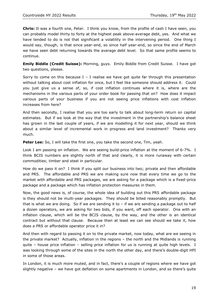**Chris:** It was a fourth one, Peter. I think you know, from the profile of cash I have seen, you can probably model thirty to forty at the highest peak above-average debt, yes. And what we have tended to do is not that significant a volatility in the intervening period. One thing I would say, though, is that since year-end, so since half year-end, so since the end of March we have seen debt returning towards the average debt level. So that same profile seems to continue.

**Emily Biddle (Credit Suisse):** Morning, guys. Emily Biddle from Credit Suisse. I have got two questions, please.

Sorry to come on this because  $I - I$  realise we have got quite far through this presentation without talking about cost inflation for once, but I feel like someone should address it. Could you just give us a sense of, so, if cost inflation continues where it is, where are the mechanisms in the various parts of your order book for passing that on? How does it impact various parts of your business if you are not seeing price inflations with cost inflation increases from here?

And then secondly, I realise that you are too early to talk about long-term return on capital estimates. But if we look at the way that the investment in the partnership's balance sheet has grown in the last couple of years, if we are modelling it for next year, should we think about a similar level of incremental work in progress and land investment? Thanks very much.

**Peter Lee:** So, I will take the first one, you take the second one, Tim, yeah.

Look I am passing on inflation. We are seeing build-price inflation at the moment of 6-7%. I think BCIS numbers are slightly north of that and clearly, it is more runaway with certain commodities; timber and steel in particular.

How do we pass it on? I think if you split our business into two; private and then affordable and PRS. The affordable and PRS we are making sure now that every time we go to the market with affordable and PRS packages, we are asking for a package which is a fixed-price package and a package which has inflation protection measures in them.

Now, the good news is, of course, the whole idea of building out this PRS affordable package is they should not be multi-year packages. They should be billed reasonably promptly. But that is what we are doing. So if we are sending it to  $-$  if we are sending a package out to half a dozen operators, we are asking for two bids, if you want, off each operator. One with an inflation clause, which will be the BCIS clause, by the way, and the other is an identical contract but without that clause. Because then at least we can see should we take it, how does a PRS or affordable operator price it in?

And then with regard to passing it on to the private market, now today, what are we seeing in the private market? Actually, inflation in the regions – the north and the Midlands is running quite – house price inflation – selling price inflation for us is running at quite high levels. I was looking through some of the sites in the north the other day, and there's double-digit HPI in some of those areas.

In London, it is much more muted, and in fact, there's a couple of regions where we have got slightly negative – we have got deflation on some apartments in London, and so there's quite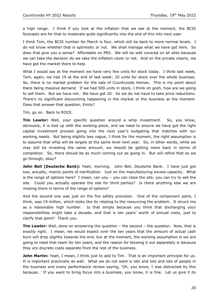a high range. I think if you look at the inflation that we see at the moment, the BCIS forecasts are for that to moderate quite significantly into the end of this into next year.

I think Tom, the BCIS number for March is four, which will be back to more normal levels. I do not know whether that is optimistic or not. We shall manage what we have got here. So does that give you a sense? Affordable on PRS. We will be well covered on all sites because we can take the decision do we take the inflation cover or not. And on the private clearly, we have got the market there to help.

What I would say at the moment we have very few units for stock today. I think last week, Tom, again, we had 19 at the end of last week; 20 units for stock over the whole business. So, there is no market problem for the sale of Countryside Homes. This is my point about there being massive demand. If we had 500 units in stock, I think oh gosh, how are we going to sell them. But we have not. We have got 20. So we do not have to take price reductions. There's no significant discounting happening in the market or the business at the moment. Does that answer that question, Emily?

Tim, go on. Back to ROCE.

**Tim Lawlor:** Well, your specific question around a whip investment. So, you know, obviously, it is tied up with the working piece, and we need to ensure we have got the right capital investment process going into the next year's budgeting that matches with our working needs. But being slightly less vague, I think for the moment, the right assumption is to assume that whip will be largely at the same level next year. So, in other words, while we may still be investing the same amount, we should be getting more back in terms of completion. So, there should be as much coming out as going in. But will refine that as we go through, okay?

**John Bell (Deutsche Bank):** Yeah, morning. John Bell, Deutsche Bank. I have just got two, actually, mainly points of clarification. Just on the manufacturing excess capacity. What is the range of options here? I mean, can you – you can close the site, you can try to sell the site. Could you actually operate the site for third parties? Is there anything else we are missing there in terms of the range of options?

And the second one was just on the fire safety provision. One of the component parts, I think, was 19 million, which looks like its relating to the resourcing the problem. It struck me as a reasonably high number. Is that simply because you think that discharging your responsibilities might take a decade, and that is ten years' worth of annual costs, just to clarify that point? Thank you.

**Tim Lawlor:** Well, done on answering the question – the second – the question. Now, that is exactly right. I mean, we would expect over the ten years that the amount of actual cash burn will drop slightly towards the end, but at the moment, the working assumption is we are going to need that team for ten years, and the reason for blowing it out separately is because they are discrete costs separate from the rest of the business.

**John Martin:** Yeah, I mean, I think just to add to Tim. That is an important principle for us. It is important practically as well. What we do not want is lots and lots and lots of people in the business and every performance review saying, 'Oh, you know, I was distracted by this because…' If you want to bring focus into a business, you know, it is fine. Let us give it its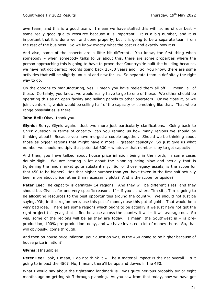own team, and this is a good team. I mean we have staffed this with some of our best – some really good quality resource because it is important. It is a big number, and it is important that it is done well and done properly, but it is going to be a separate team from the rest of the business. So we know exactly what the cost is and exactly how it is.

And also, some of the aspects are a little bit different. You know, the first thing when somebody – when somebody talks to us about this, there are some properties where the person approaching this is going to have to prove that Countryside built the building because, we have not got perfect records going back 25-30 years ago. So, you know, there are some activities that will be slightly unusual and new for us. So separate team is definitely the right way to go.

On the options to manufacturing, yes, I mean you have reeled them all off. I mean, all of those. Certainly, you know, we would really have to go to one of those. We either should be operating this as an open facility and selling panels to other operators. Or we close it, or we joint venture it, which would be selling half of the capacity or something like that. That whole range possibilities is there.

#### John Bell: Okay, thank you.

**Glynis:** Sorry, Glynis again. Just two more just particularly clarifications. Going back to Chris' question in terms of capacity, can you remind us how many regions we should be thinking about? Because you have merged a couple together. Should we be thinking about those as bigger regions that might have a more – greater capacity? So just give us what number we should multiply that potential 600 – whatever that number is by to get capacity.

And then, you have talked about house price inflation being in the north, in some cases double-digit. We are hearing a lot about the planning being slow and actually that is tightening the land market quite substantially. So, of those legacy assets, is the scope for that 450 to be higher? Has that higher number than you have taken in the first half actually been more about price rather than necessarily plots? And is the scope for upside?

**Peter Lee:** The capacity is definitely 14 regions. And they will be different sizes, and they should be, Glynis, for one very specific reason. If  $-$  if you sit where Tim sits, Tim is going to be allocating resources to the best opportunities around the country. We should not just be saying, 'Oh, in this region here, use this pot of money; use this pot of gold'. That would be a very bad idea. There are some regions which ought to be actually if we just have not got the right project this year, that is fine because across the country it will – it will average out. So yes, some of the regions will be as they are today. I mean, the Southwest is – is preproduction; 100% pre-production today, and we have invested a lot of money there. So, that will obviously, come through.

And then on house price inflation, your question was, is the 450 going to be higher because of house price inflation?

#### **Glynis:** [Inaudible].

**Peter Lee:** Look, I mean, I do not think it will be a material impact is the net overall. Is it going to impact the 450? No, I mean, there'll be ups and downs in the 450.

What I would say about the tightening landmark is I was quite nervous probably six or eight months ago on getting stuff through planning. As you saw from that today, now we have got